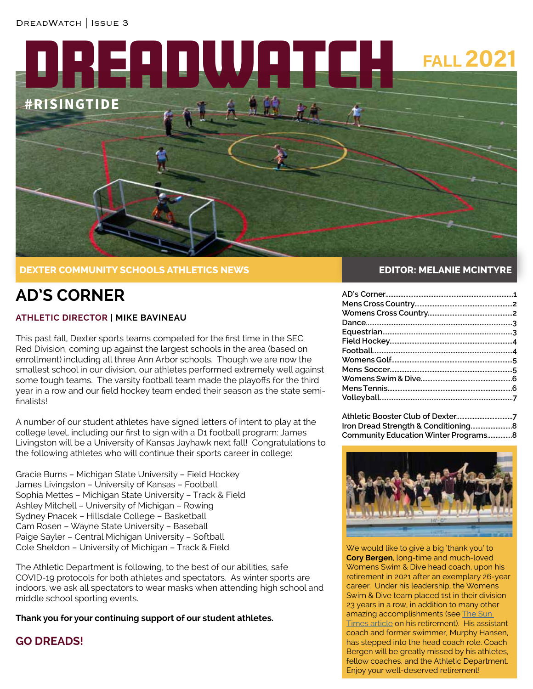DreadWatch **FALL <sup>2021</sup>**

**#RISINGTIDE**

## **DEXTER COMMUNITY SCHOOLS ATHLETICS NEWS BEEFIER AT A REPORT OF A RELANIE MCINTYRE**

# **AD'S CORNER**

## **ATHLETIC DIRECTOR | MIKE BAVINEAU**

This past fall, Dexter sports teams competed for the first time in the SEC Red Division, coming up against the largest schools in the area (based on enrollment) including all three Ann Arbor schools. Though we are now the smallest school in our division, our athletes performed extremely well against some tough teams. The varsity football team made the playoffs for the third year in a row and our field hockey team ended their season as the state semifinalists!

A number of our student athletes have signed letters of intent to play at the college level, including our first to sign with a D1 football program: James Livingston will be a University of Kansas Jayhawk next fall! Congratulations to the following athletes who will continue their sports career in college:

Gracie Burns – Michigan State University – Field Hockey James Livingston – University of Kansas – Football Sophia Mettes – Michigan State University – Track & Field Ashley Mitchell – University of Michigan – Rowing Sydney Pnacek – Hillsdale College – Basketball Cam Rosen – Wayne State University – Baseball Paige Sayler – Central Michigan University – Softball Cole Sheldon – University of Michigan – Track & Field

The Athletic Department is following, to the best of our abilities, safe COVID-19 protocols for both athletes and spectators. As winter sports are indoors, we ask all spectators to wear masks when attending high school and middle school sporting events.

**Thank you for your continuing support of our student athletes.**

**GO DREADS!**

**Athletic Booster Club of Dexter..................................7 Iron Dread Strength & Conditioning.........................8 Community Education Winter Programs...............8**



We would like to give a big 'thank you' to **Cory Bergen**, long-time and much-loved Womens Swim & Dive head coach, upon his retirement in 2021 after an exemplary 26-year career. Under his leadership, the Womens Swim & Dive team placed 1st in their division 23 years in a row, in addition to many other amazing accomplishments (see The Sun Times article on his retirement). His assistant coach and former swimmer, Murphy Hansen, has stepped into the head coach role. Coach Bergen will be greatly missed by his athletes, fellow coaches, and the Athletic Department. Enjoy your well-deserved retirement!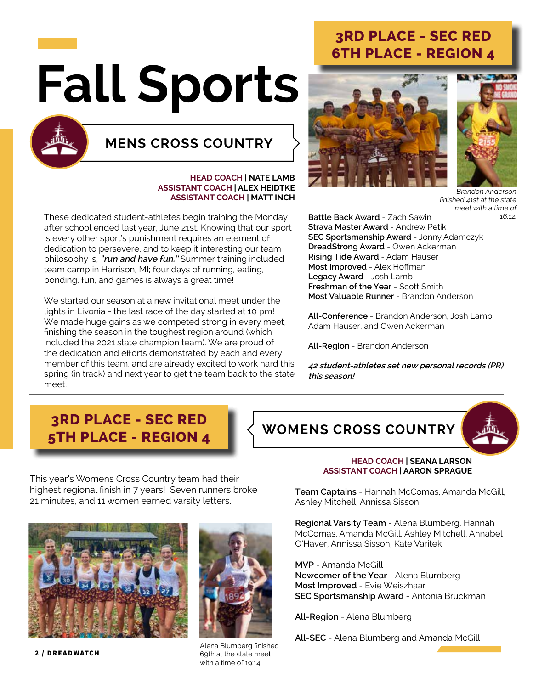# **Fall Sports**



# **MENS CROSS COUNTRY**

## **HEAD COACH | NATE LAMB ASSISTANT COACH | ALEX HEIDTKE ASSISTANT COACH | MATT INCH**

These dedicated student-athletes begin training the Monday after school ended last year, June 21st. Knowing that our sport is every other sport's punishment requires an element of dedication to persevere, and to keep it interesting our team philosophy is, **"run and have fun."** Summer training included team camp in Harrison, MI; four days of running, eating, bonding, fun, and games is always a great time!

We started our season at a new invitational meet under the lights in Livonia - the last race of the day started at 10 pm! We made huge gains as we competed strong in every meet, finishing the season in the toughest region around (which included the 2021 state champion team). We are proud of the dedication and efforts demonstrated by each and every member of this team, and are already excited to work hard this spring (in track) and next year to get the team back to the state meet.

# **3RD PLACE - SEC RED 6TH PLACE - REGION 4**





Brandon Anderson finished 41st at the state meet with a time of 16:12.

**Battle Back Award** - Zach Sawin **Strava Master Award** - Andrew Petik **SEC Sportsmanship Award** - Jonny Adamczyk **DreadStrong Award** - Owen Ackerman **Rising Tide Award** - Adam Hauser **Most Improved** - Alex Hoffman **Legacy Award** - Josh Lamb **Freshman of the Year** - Scott Smith **Most Valuable Runner** - Brandon Anderson

**All-Conference** - Brandon Anderson, Josh Lamb, Adam Hauser, and Owen Ackerman

**All-Region** - Brandon Anderson

**42 student-athletes set new personal records (PR) this season!**

## **3RD PLACE - SEC RED 5TH PLACE - REGION 4**

**WOMENS CROSS COUNTRY**



This year's Womens Cross Country team had their highest regional finish in 7 years! Seven runners broke 21 minutes, and 11 women earned varsity letters.



2 / DreadWatch



Alena Blumberg finished 69th at the state meet with a time of 19:14.

## **HEAD COACH | SEANA LARSON ASSISTANT COACH | AARON SPRAGUE**

**Team Captains** - Hannah McComas, Amanda McGill, Ashley Mitchell, Annissa Sisson

**Regional Varsity Team** - Alena Blumberg, Hannah McComas, Amanda McGill, Ashley Mitchell, Annabel O'Haver, Annissa Sisson, Kate Varitek

**MVP** - Amanda McGill **Newcomer of the Year** - Alena Blumberg **Most Improved** - Evie Weiszhaar **SEC Sportsmanship Award** - Antonia Bruckman

**All-Region** - Alena Blumberg

**All-SEC** - Alena Blumberg and Amanda McGill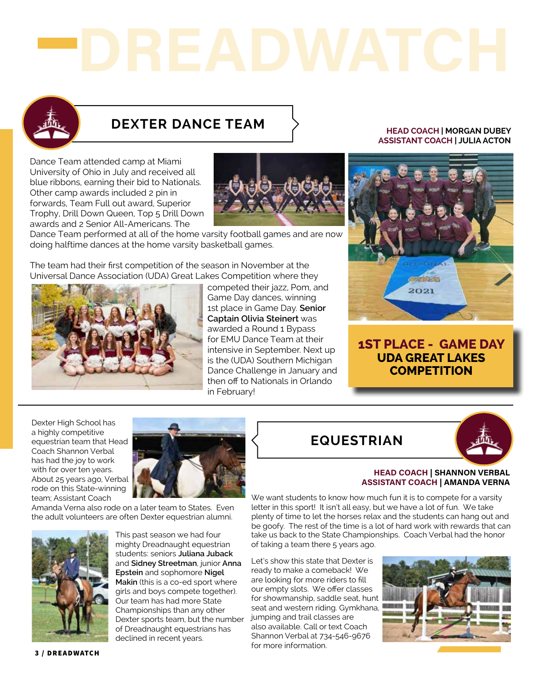# **DREADWATCH**



# **DEXTER DANCE TEAM**

Dance Team attended camp at Miami University of Ohio in July and received all blue ribbons, earning their bid to Nationals. Other camp awards included 2 pin in forwards, Team Full out award, Superior Trophy, Drill Down Queen, Top 5 Drill Down awards and 2 Senior All-Americans. The



Dance Team performed at all of the home varsity football games and are now doing halftime dances at the home varsity basketball games.

The team had their first competition of the season in November at the Universal Dance Association (UDA) Great Lakes Competition where they



competed their jazz, Pom, and Game Day dances, winning 1st place in Game Day. **Senior Captain Olivia Steinert** was awarded a Round 1 Bypass for EMU Dance Team at their intensive in September. Next up is the (UDA) Southern Michigan Dance Challenge in January and then off to Nationals in Orlando in February!

## **HEAD COACH | MORGAN DUBEY ASSISTANT COACH | JULIA ACTON**



## **1ST PLACE - GAME DAY UDA GREAT LAKES COMPETITION**

Dexter High School has a highly competitive equestrian team that Head Coach Shannon Verbal has had the joy to work with for over ten years. About 25 years ago, Verbal rode on this State-winning



Amanda Verna also rode on a later team to States. Even the adult volunteers are often Dexter equestrian alumni.



This past season we had four mighty Dreadnaught equestrian students: seniors **Juliana Juback**  and **Sidney Streetman**, junior **Anna Epstein** and sophomore **Nigel Makin** (this is a co-ed sport where girls and boys compete together). Our team has had more State Championships than any other Dexter sports team, but the number of Dreadnaught equestrians has declined in recent years.

# **EQUESTRIAN**



## **HEAD COACH | SHANNON VERBAL ASSISTANT COACH | AMANDA VERNA**

team; Assistant Coach We want students to know how much fun it is to compete for a varsity letter in this sport! It isn't all easy, but we have a lot of fun. We take plenty of time to let the horses relax and the students can hang out and be goofy. The rest of the time is a lot of hard work with rewards that can take us back to the State Championships. Coach Verbal had the honor of taking a team there 5 years ago.

> Let's show this state that Dexter is ready to make a comeback! We are looking for more riders to fill our empty slots. We offer classes for showmanship, saddle seat, hunt seat and western riding. Gymkhana, jumping and trail classes are also available. Call or text Coach Shannon Verbal at 734-546-9676 for more information.

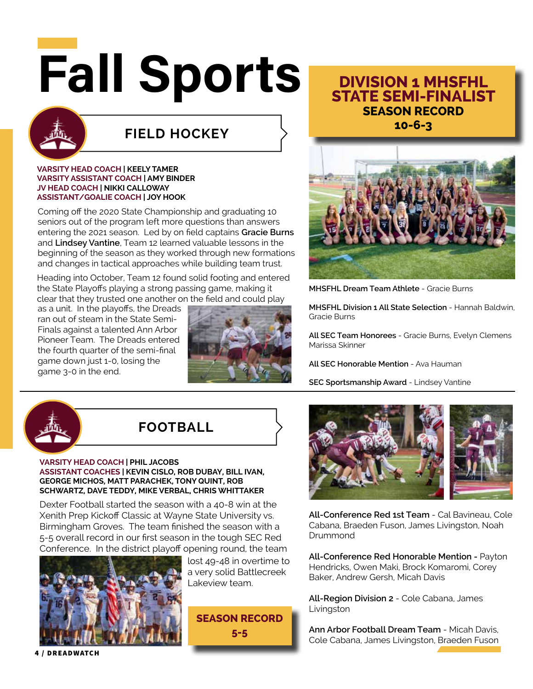# **Fall Sports**



## **FIELD HOCKEY**

## **VARSITY HEAD COACH | KEELY TAMER VARSITY ASSISTANT COACH | AMY BINDER JV HEAD COACH | NIKKI CALLOWAY ASSISTANT/GOALIE COACH | JOY HOOK**

Coming off the 2020 State Championship and graduating 10 seniors out of the program left more questions than answers entering the 2021 season. Led by on field captains **Gracie Burns** and **Lindsey Vantine**, Team 12 learned valuable lessons in the beginning of the season as they worked through new formations and changes in tactical approaches while building team trust.

Heading into October, Team 12 found solid footing and entered the State Playoffs playing a strong passing game, making it clear that they trusted one another on the field and could play

as a unit. In the playoffs, the Dreads ran out of steam in the State Semi-Finals against a talented Ann Arbor Pioneer Team. The Dreads entered the fourth quarter of the semi-final game down just 1-0, losing the game 3-0 in the end.



## **DIVISION 1 MHSFHL STATE SEMI-FINALIST SEASON RECORD 10-6-3**



**MHSFHL Dream Team Athlete** - Gracie Burns

**MHSFHL Division 1 All State Selection** - Hannah Baldwin, Gracie Burns

**All SEC Team Honorees** - Gracie Burns, Evelyn Clemens Marissa Skinner

**All SEC Honorable Mention** - Ava Hauman

**SEC Sportsmanship Award** - Lindsey Vantine



## **FOOTBALL**

### **VARSITY HEAD COACH | PHIL JACOBS ASSISTANT COACHES | KEVIN CISLO, ROB DUBAY, BILL IVAN, GEORGE MICHOS, MATT PARACHEK, TONY QUINT, ROB SCHWARTZ, DAVE TEDDY, MIKE VERBAL, CHRIS WHITTAKER**

Dexter Football started the season with a 40-8 win at the Xenith Prep Kickoff Classic at Wayne State University vs. Birmingham Groves. The team finished the season with a 5-5 overall record in our first season in the tough SEC Red Conference. In the district playoff opening round, the team



lost 49-48 in overtime to a very solid Battlecreek Lakeview team.

**SEASON RECORD 5-5**



**All-Conference Red 1st Team** - Cal Bavineau, Cole Cabana, Braeden Fuson, James Livingston, Noah Drummond

**All-Conference Red Honorable Mention -** Payton Hendricks, Owen Maki, Brock Komaromi, Corey Baker, Andrew Gersh, Micah Davis

**All-Region Division 2** - Cole Cabana, James Livingston

**Ann Arbor Football Dream Team** - Micah Davis, Cole Cabana, James Livingston, Braeden Fuson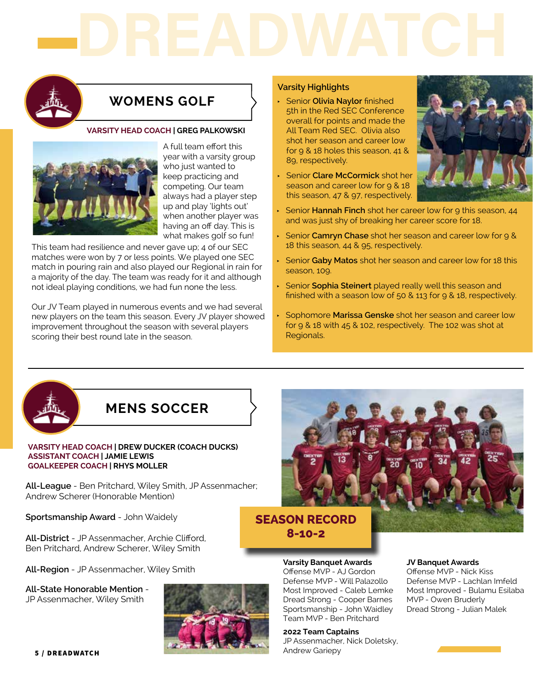# **DREADWATCH**



## **WOMENS GOLF**

## **VARSITY HEAD COACH | GREG PALKOWSKI**



A full team effort this year with a varsity group who just wanted to keep practicing and competing. Our team always had a player step up and play 'lights out' when another player was having an off day. This is what makes golf so fun!

This team had resilience and never gave up; 4 of our SEC matches were won by 7 or less points. We played one SEC match in pouring rain and also played our Regional in rain for a majority of the day. The team was ready for it and although not ideal playing conditions, we had fun none the less.

Our JV Team played in numerous events and we had several new players on the team this season. Every JV player showed improvement throughout the season with several players scoring their best round late in the season.

## **Varsity Highlights**

▸ Senior **Olivia Naylor** finished 5th in the Red SEC Conference overall for points and made the All Team Red SEC. Olivia also shot her season and career low for 9 & 18 holes this season, 41 & 89, respectively.





- ▸ Senior **Hannah Finch** shot her career low for 9 this season, 44 and was just shy of breaking her career score for 18.
- ▸ Senior **Camryn Chase** shot her season and career low for 9 & 18 this season, 44 & 95, respectively.
- ▸ Senior **Gaby Matos** shot her season and career low for 18 this season, 109.
- ▸ Senior **Sophia Steinert** played really well this season and finished with a season low of 50 & 113 for 9 & 18, respectively.
- ▸ Sophomore **Marissa Genske** shot her season and career low for 9 & 18 with 45 & 102, respectively. The 102 was shot at Regionals.



# **MENS SOCCER**

### **VARSITY HEAD COACH | DREW DUCKER (COACH DUCKS) ASSISTANT COACH | JAMIE LEWIS GOALKEEPER COACH | RHYS MOLLER**

**All-League** - Ben Pritchard, Wiley Smith, JP Assenmacher; Andrew Scherer (Honorable Mention)

**Sportsmanship Award** - John Waidely

**All-District** - JP Assenmacher, Archie Clifford, Ben Pritchard, Andrew Scherer, Wiley Smith

**All-Region** - JP Assenmacher, Wiley Smith **Varsity Banquet Awards**<br>Offense MVP - A LGordon

**All-State Honorable Mention** - JP Assenmacher, Wiley Smith





Offense MVP - AJ Gordon Defense MVP - Will Palazollo Most Improved - Caleb Lemke Dread Strong - Cooper Barnes Sportsmanship - John Waidley Team MVP - Ben Pritchard

**2022 Team Captains**

JP Assenmacher, Nick Doletsky, Andrew Gariepy

### **JV Banquet Awards**

Offense MVP - Nick Kiss Defense MVP - Lachlan Imfeld Most Improved - Bulamu Esilaba MVP - Owen Bruderly Dread Strong - Julian Malek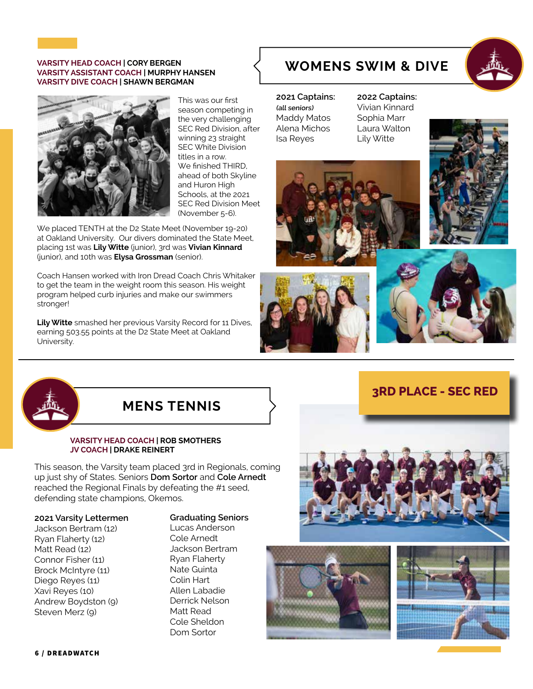### VARSITY HEAD COACH | CORY BERGEN  $\langle$  WOMENS SWIM & DIVE **VARSITY ASSISTANT COACH | MURPHY HANSEN VARSITY DIVE COACH | SHAWN BERGMAN**



This was our first season competing in the very challenging SEC Red Division, after winning 23 straight SEC White Division titles in a row. We finished THIRD. ahead of both Skyline and Huron High Schools, at the 2021 SEC Red Division Meet (November 5-6).

We placed TENTH at the D2 State Meet (November 19-20) at Oakland University. Our divers dominated the State Meet, placing 1st was **Lily Witte** (junior), 3rd was **Vivian Kinnard** (junior), and 10th was **Elysa Grossman** (senior).

Coach Hansen worked with Iron Dread Coach Chris Whitaker to get the team in the weight room this season. His weight program helped curb injuries and make our swimmers stronger!

**Lily Witte** smashed her previous Varsity Record for 11 Dives, earning 503.55 points at the D2 State Meet at Oakland University.

**2021 Captains: (all seniors)** Maddy Matos Alena Michos Isa Reyes

**2022 Captains:** Vivian Kinnard Sophia Marr Laura Walton Lily Witte







## **3RD PLACE - SEC RED**



## **MENS TENNIS**

## **VARSITY HEAD COACH | ROB SMOTHERS JV COACH | DRAKE REINERT**

This season, the Varsity team placed 3rd in Regionals, coming up just shy of States. Seniors **Dom Sortor** and **Cole Arnedt** reached the Regional Finals by defeating the #1 seed, defending state champions, Okemos.

## **2021 Varsity Lettermen**

Jackson Bertram (12) Ryan Flaherty (12) Matt Read (12) Connor Fisher (11) Brock McIntyre (11) Diego Reyes (11) Xavi Reyes (10) Andrew Boydston (9) Steven Merz (9)

## **Graduating Seniors**

Lucas Anderson Cole Arnedt Jackson Bertram Ryan Flaherty Nate Guinta Colin Hart Allen Labadie Derrick Nelson Matt Read Cole Sheldon Dom Sortor







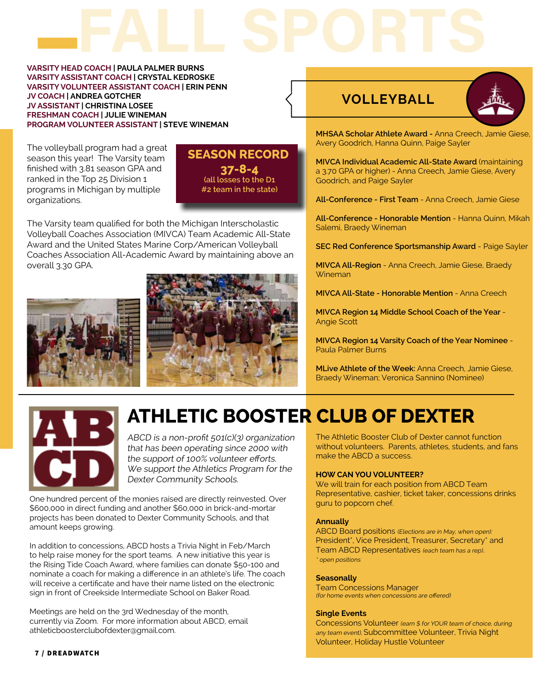# **VARSITY HEAD COACH | PAULA PALMER BURNS FALL SPORTS**

**VARSITY ASSISTANT COACH | CRYSTAL KEDROSKE VARSITY VOLUNTEER ASSISTANT COACH | ERIN PENN JV COACH | ANDREA GOTCHER JV ASSISTANT | CHRISTINA LOSEE FRESHMAN COACH | JULIE WINEMAN PROGRAM VOLUNTEER ASSISTANT | STEVE WINEMAN**

The volleyball program had a great season this year! The Varsity team finished with 3.81 season GPA and ranked in the Top 25 Division 1 programs in Michigan by multiple organizations.

**SEASON RECORD 37-8-4 (all losses to the D1 #2 team in the state)**

The Varsity team qualified for both the Michigan Interscholastic Volleyball Coaches Association (MIVCA) Team Academic All-State Award and the United States Marine Corp/American Volleyball Coaches Association All-Academic Award by maintaining above an overall 3.30 GPA.





# **VOLLEYBALL**



**MHSAA Scholar Athlete Award -** Anna Creech, Jamie Giese, Avery Goodrich, Hanna Quinn, Paige Sayler

**MIVCA Individual Academic All-State Award** (maintaining a 3.70 GPA or higher) - Anna Creech, Jamie Giese, Avery Goodrich, and Paige Sayler

**All-Conference - First Team** - Anna Creech, Jamie Giese

**All-Conference - Honorable Mention** - Hanna Quinn, Mikah Salemi, Braedy Wineman

**SEC Red Conference Sportsmanship Award** - Paige Sayler

**MIVCA All-Region** - Anna Creech, Jamie Giese, Braedy Wineman

**MIVCA All-State - Honorable Mention** - Anna Creech

**MIVCA Region 14 Middle School Coach of the Year** - Angie Scott

**MIVCA Region 14 Varsity Coach of the Year Nominee** - Paula Palmer Burns

**MLive Athlete of the Week:** Anna Creech, Jamie Giese, Braedy Wineman; Veronica Sannino (Nominee)



# **ATHLETIC BOOSTER CLUB OF DEXTER**

ABCD is a non-profit 501(c)(3) organization that has been operating since 2000 with the support of 100% volunteer efforts. We support the Athletics Program for the Dexter Community Schools.

One hundred percent of the monies raised are directly reinvested. Over \$600,000 in direct funding and another \$60,000 in brick-and-mortar projects has been donated to Dexter Community Schools, and that amount keeps growing.

In addition to concessions, ABCD hosts a Trivia Night in Feb/March to help raise money for the sport teams. A new initiative this year is the Rising Tide Coach Award, where families can donate \$50-100 and nominate a coach for making a difference in an athlete's life. The coach will receive a certificate and have their name listed on the electronic sign in front of Creekside Intermediate School on Baker Road.

Meetings are held on the 3rd Wednesday of the month, currently via Zoom. For more information about ABCD, email athleticboosterclubofdexter@gmail.com.

The Athletic Booster Club of Dexter cannot function without volunteers. Parents, athletes, students, and fans make the ABCD a success.

## **HOW CAN YOU VOLUNTEER?**

We will train for each position from ABCD Team Representative, cashier, ticket taker, concessions drinks guru to popcorn chef.

## **Annually**

ABCD Board positions (Elections are in May, when open): President\*, Vice President, Treasurer, Secretary\* and Team ABCD Representatives (each team has a rep). \* open positions

## **Seasonally**

Team Concessions Manager (for home events when concessions are offered)

## **Single Events**

Concessions Volunteer (earn \$ for YOUR team of choice, during any team event), Subcommittee Volunteer, Trivia Night Volunteer, Holiday Hustle Volunteer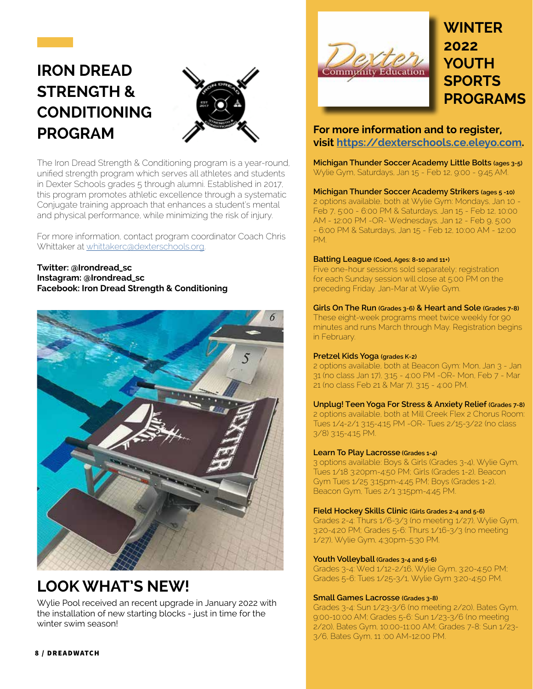# **IRON DREAD STRENGTH & CONDITIONING PROGRAM**



The Iron Dread Strength & Conditioning program is a year-round, unified strength program which serves all athletes and students in Dexter Schools grades 5 through alumni. Established in 2017, this program promotes athletic excellence through a systematic Conjugate training approach that enhances a student's mental and physical performance, while minimizing the risk of injury.

For more information, contact program coordinator Coach Chris Whittaker at whittakerc@dexterschools.org.

## **Twitter: @Irondread\_sc Instagram: @Irondread\_sc Facebook: Iron Dread Strength & Conditioning**



# **LOOK WHAT'S NEW!**

Wylie Pool received an recent upgrade in January 2022 with the installation of new starting blocks - just in time for the winter swim season!



# **WINTER 2022 YOUTH SPORTS PROGRAMS**

**For more information and to register, visit https://dexterschools.ce.eleyo.com.**

**Michigan Thunder Soccer Academy Little Bolts (ages 3-5)** Wylie Gym, Saturdays, Jan 15 - Feb 12, 9:00 - 9:45 AM.

**Michigan Thunder Soccer Academy Strikers (ages 5 -10)** 2 options available, both at Wylie Gym: Mondays, Jan 10 - Feb 7, 5:00 - 6:00 PM & Saturdays, Jan 15 - Feb 12, 10:00 AM - 12:00 PM -OR- Wednesdays, Jan 12 - Feb 9, 5:00 - 6:00 PM & Saturdays, Jan 15 - Feb 12, 10:00 AM - 12:00 PM.

## **Batting League (Coed, Ages: 8-10 and 11+)**

Five one-hour sessions sold separately; registration for each Sunday session will close at 5:00 PM on the preceding Friday. Jan-Mar at Wylie Gym.

## **Girls On The Run (Grades 3-6) & Heart and Sole (Grades 7-8)**

These eight-week programs meet twice weekly for 90 minutes and runs March through May. Registration begins in February.

## **Pretzel Kids Yoga (grades K-2)**

2 options available, both at Beacon Gym: Mon, Jan 3 - Jan 31 (no class Jan 17), 3:15 - 4:00 PM -OR- Mon, Feb 7 - Mar 21 (no class Feb 21 & Mar 7), 3:15 - 4:00 PM.

## **Unplug! Teen Yoga For Stress & Anxiety Relief (Grades 7-8)**

2 options available, both at Mill Creek Flex 2 Chorus Room: Tues 1/4-2/1 3:15-4:15 PM -OR- Tues 2/15-3/22 (no class 3/8) 3:15-4:15 PM.

## **Learn To Play Lacrosse (Grades 1-4)**

3 options available: Boys & Girls (Grades 3-4), Wylie Gym, Tues 1/18 3:20pm-4:50 PM; Girls (Grades 1-2), Beacon Gym Tues 1/25 3:15pm-4:45 PM; Boys (Grades 1-2), Beacon Gym, Tues 2/1 3:15pm-4:45 PM.

## **Field Hockey Skills Clinic (Girls Grades 2-4 and 5-6)**

Grades 2-4: Thurs 1/6-3/3 (no meeting 1/27), Wylie Gym, 3:20-4:20 PM; Grades 5-6: Thurs 1/16-3/3 (no meeting 1/27), Wylie Gym, 4:30pm-5:30 PM.

## **Youth Volleyball (Grades 3-4 and 5-6)**

Grades 3-4: Wed 1/12-2/16, Wylie Gym, 3:20-4:50 PM; Grades 5-6: Tues 1/25-3/1, Wylie Gym 3:20-4:50 PM.

## **Small Games Lacrosse (Grades 3-8)**

Grades 3-4: Sun 1/23-3/6 (no meeting 2/20), Bates Gym, 9:00-10:00 AM; Grades 5-6: Sun 1/23-3/6 (no meeting 2/20), Bates Gym, 10:00-11:00 AM; Grades 7-8: Sun 1/23- 3/6, Bates Gym, 11 :00 AM-12:00 PM.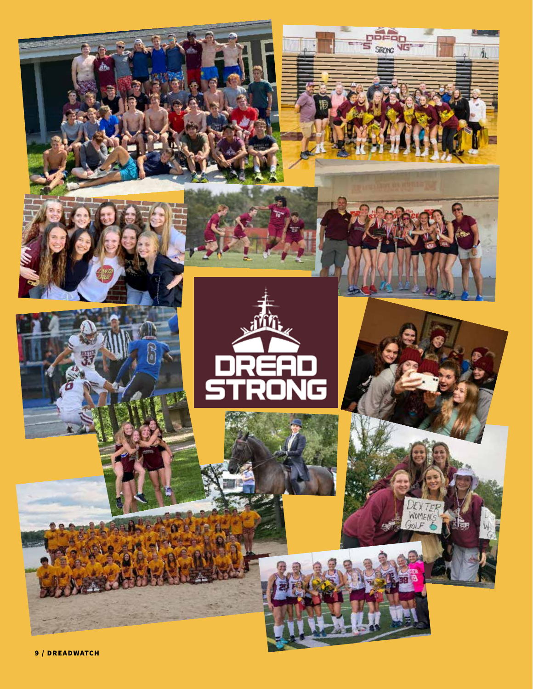